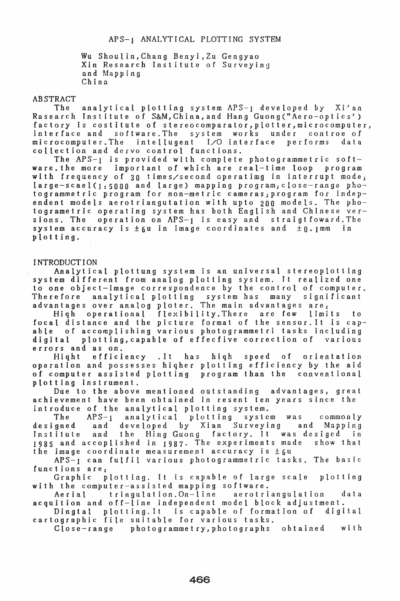# APS-l ANALYTICAL PLOTTING SYSTEM

Wu Shoulin,Chang Benyi,Zu Gengyao Xin Research Institute of Surveyina and Mapping China

## ABSTRACT

The analytical plotting system APS-l developed by Xi'an Rasearch Institute of S&M, China, and Hang Guong ("Aero-optics') factory is costitute of stereocomparator,plotter,microcomputer, interface and software. The system works under controe of microcomputer.The intellugent I/O interface performs data microcomputer.The intellugent I/O interface<br>collection and dervo control functions.

The  $APS-1$  is provided with complete photogrammetric software.the more important of which are real-time loop program with frequency of 30 times/second operatimg in interrupt mode; large-scael(1:5000 and large) mapping program;closc-range photogrammetric program for non-metric camerasjprogram for independent models aerotriangutation with upto 200 models. The photogrametric operating system has both English and Chinese versions. The operation on APS-1 is easy and straigtfoward. The system accuracy is  $\pm 6u$  in image coordinates and  $\pm 0.1$ mm in plotting.

## INTRODUCTION

Analytical plottung system is an universal stereoplotting system different from analog plotting system. It realized one to one object-image correspondence by the control of computer. Therefore analytical plotting system has many significant advantages over analog ploter. The main advantages are:

Hiqh operational flexibility.There arc few limits to focal distance and the picture format of the sensor. It is cap-<br>able of accomplishing various photogrammetri tasks including of accomplishing various photogrammetri tasks including digital plotting,capable of effecfive correction of various errors **and** as on.

Hiqht efficiency .It has hiqh speed of orientation operation and possesses hiqher plotting efficiency by the aid of computer assisted plotting program than the conventional plotting instrument.

Due to the above mentioned outstanding advantages, great achievement have been obtained in resent ten years since the introduce of the analytical plotting system.<br>The  $APS-1$  analytical plotting system

analytical plotting system was commonly<br>eveloped by Xian Surveying and Mapping designed and developed by Xian Surveying and<br>Institute and the Hing-Guong factory. It was de: Institute and the Hing Guong factory. It was desiged in  $1985$  and accoplished in  $1987$ . The experiments made the image coordinate measurement accuracy is  $\pm 6u$ 

APS-l can fulfil various photogrammelric tasks. The basic functions are:

Graphic plotting. It is capable of large scale plotting with the computer-assisted mapping software.

Aerial tringulation.On-line aerotriangulation data acquit ion and off-line independent model block adjustment.

Dingtal plotting.It is capable of formation of digital cartographic file suitable for various tasks.

Close-range photogrammetry,photographs obtained with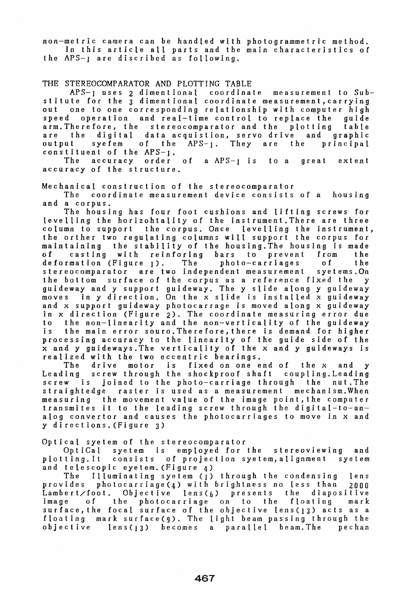non-metric camera can be handled with photogrammetric method. In this article all parts and the main characteristics of the APS-l are discribed as following.

# THE STEREOCOMPARATOR AND PLOTTING TABLE<br>APS-1 uses 2 dimentional coordina

coordinate measurement to Substitute for the 3 dimentional coordinate measurement, carrying out one to one corresponding relationship with computer high speed operation and real-time control to replace the guide arm. Therefore, the stereocomparator and the plotting table are the digital data acquistion, servo drive and graphic output syefem of the APS-). They are the principal output syefem of the  $APS-1$ .<br>constituent of the  $APS-1$ .<br>The accuracy order of a AP

of a  $APS-1$  is to a great extent accuracy of the structure.

Mechanical construction of the stereocomparator

coordinate measurement device consists of a housing and a corpus.

The housing has four foot cushions and lifting screws for levelling the horizohtality of the instrument.There are three column to support the corpus. Once levelling the instrument, the orther two regUlating columns will support the corpus for maintaining the stability of the housing.The housing is made casting with reinforing bars to prevent from<br>mation (Figure 1). The photo-carriages of deformation (Figure 1). The photo-carriages of the stereocomparator are two independent measurement syetems.On the bottom surface of the corpus as a reference fixed the y guideway and y support guideway. The y slide along y guideway moves in y direction. On the x slide is installed x guideway and x support guideway photocarrage is moved along x guideway in x direction (Figure 2). The coordinate measuring error due to the non-linearity and the non-verticality of the guideway the main error souro. Therefore, there is demand for higher processing accuracy to the linearity of the guide side of the x and y guideways.The verticality of the x and y guideways is realized with the two eccentric bearings.

The drive motor is fixed on one end of the x and Leading screw through the shockproof shaft coupling.Leading screw is joined to the photo-carriage through the nut.The straightedge raster is used as a measurement mechanism.When measuring the movement value of the image point, the computer transmites it to the leading screw through the digital-to-analog convertor and causes the photocarriages to move in x and y directions.(FIgure 3)

Optical syetem of the stereocomparator

OptiCal syetem is employed for the stereoviewing and plotting.It consists of projection syetem,alignment syetem and telescopic eyetem. (Figure 4)

The Illuminating syelem (1) through the condensing lens provides photocarriage(4) with brightness no less than 2000<br>Lambert/foot. Objective lens(6) presents the diapositive Objective lens( $6$ ) presents the diapositive image of the photocarriage on to the floating mark surface, the focal surface of the objective lens(13) acts as a floating mark surface(g). The light beam passing through the objective len5(13) becomes a parallel beam.The pechan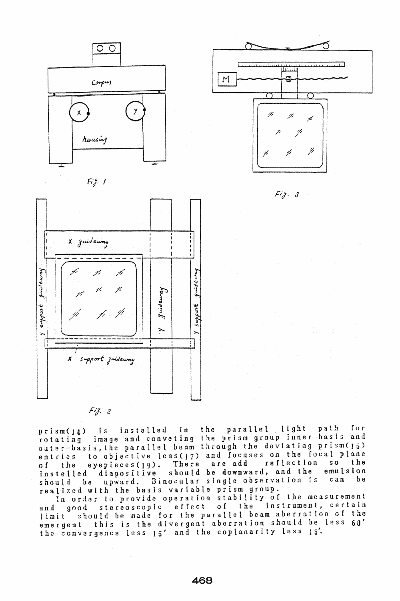







 $Fig. 3$ 

 $Fig. 2$ 

prism(14) is installed in the parallel light path for rotating image and convating the prism group inner-basis and oater-basis,the parallel beam through the deviating prism(15) entries to objective lens(17) and focuses on the focal plane of the eyepieces(19). There are add reflection so the of the eyepieces(19). There are add reflection so the<br>instelled diapositive should be downward, and the emulsion<br>should be unward. Binocular single observation is can be should be upward. Binocular single observation is realized with the basis variable prism group.

In order to provide operation stability of the measurement and good stereoscopic effect of the instrument, certain limit should be made for the parallel beam aberration of the emergent this is the divergent aberration should be less 60' the convergence less 15' and the coplanarity less 15'.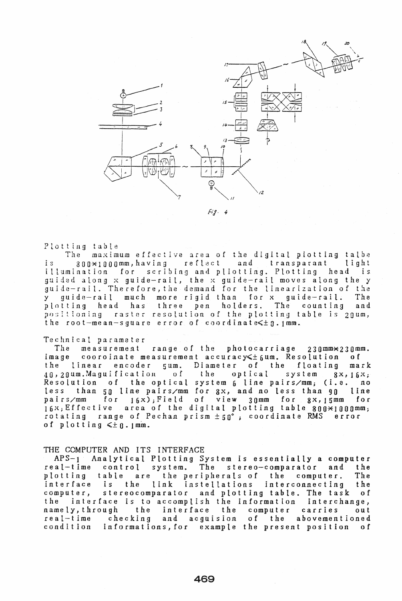

 $Fig. 4$ 

PLotting table

The maximum effective area of the digital piotting talbe is 800\*1000mm,having reflect and transparant light illumInation for scrIbing and pliotting. Plotting head is guided along x guide-rail, the x guide-rail moves along the <sup>y</sup> guide-rail. Therefore,the demand for the linearization of the y guide-rail much more rigid than for x guide-rail. The three pen holders. The counting positioning raster resolution of the plotting table is 20um, the root-mean-square error of coordinate $\leq \pm 0.1$ mm.

#### Technical parameter

The measurement range of the photocarriage 230mm\*230mm. image cooroinate measurement accuracy  $\leq$  fum. Resolution of<br>the linear encoder 5um. Diameter of the floating mas the linear encoder 5um. Diameter of the floating mark<br>40,20um.Maguification of the optical system 8x,16x:  $40,20$ um. Magui fication of the optical system  $8x,16x$ ; Resolution of the optical system 6 line pairs/mm; (i.e. no less than 50 line pairs/mm for ax, and no less than 90 line pairs/mm for 16x);Field of view 30mm for gX,15mm for  $16x$ ; Effective area of the digital plotting table 800 $\times$ 1000mm; rotating range of Pechan prism  $\pm 50^\circ$ ; coordinate RMS error of plotting  $\leq \pm 0.1$  mm.

#### THE COMPUTER AND ITS INTERFACE

APS-l Analytical Plotting System is essentially a computer real-time control system. The stereo-comparator and the<br>plotting table are the peripherals of the computer. The are the peripherals of the computer. The interface is the link instellations interconnecting the computer, stereocomparator and plotting table. The task of the interrace is to accomplish the Information interchange, namely,through the interface the computer carries out of the abovementioned condition informations,for example the present position of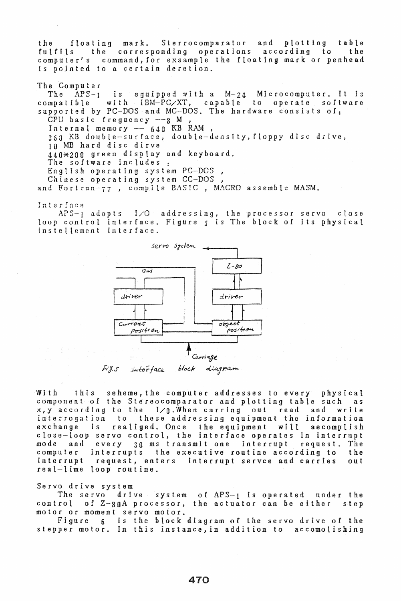the floating mark. Sterrocomparator and plotting table the corresponding operations according to computer's command, for exsample the floating mark or penhead is pointed to a certain deretion.

## The Computer

The  $APS-1$  is equipped with a  $M-24$  Microcomputer. It is compatible with IBM-PC/XT, capable to operate software supported by PC-DOS and MC-DOS. The hardware consists of:  $CPU$  basic freguency  $-8$  M Internal memory  $640$  KB RAM, 360 KB double-surface, double-density, floppy disc drive, 10 MB hard disc dirve 440\*200 green display and keyboard. The software includes. English operating system PC-DOS, Chinese operating system CC-DOS , and Fortran-77 , compile BASIC, MACRO a3semblc MASM.

Interface

APS-l adopts I/O addressing, the processor servo close loop control interface. Figure 5 is The block of its physical instellement interface.



With this seheme,the computer addresses to every physical component of the Stereocomparator and plotting table such as  $x, y$  according to the  $1/q$ . When carring out read and write interrogation to these addressing equipment the information<br>exchange is realiged. Once the equipment will aecomplish is realiged. Once the equipment close-loop servo control, the interface operates in interrupt<br>mode and every 30 ms transmit one interrupt request. The mode and every 30 ms transmit one interrupt request. The computer interrupts the executive routine according to interrupt request, enters interrupt servee and carries request, enters interrupt servce and carries out real-lime loop routine.

Servo drive system

The servo drive system of APS-1 is operated under the control of Z-30A processor, the actuator can be either step motor or moment servo motor.

Figure 6 is the block diagram of the servo drive of the stepper motor. In this instance,in addition to accomolishing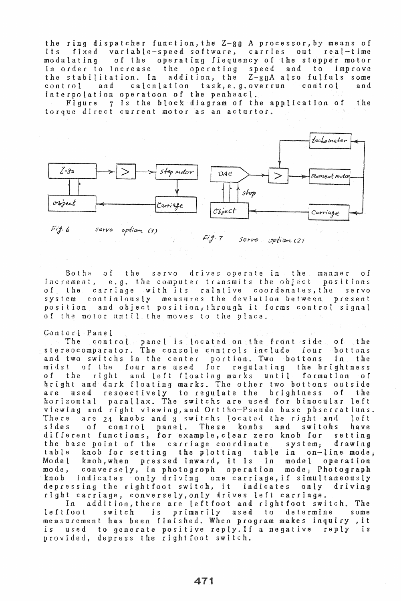the ring dispatcher function, the Z-80 A processor, by means of<br>its fixed variable-speed software, carries out real-time fixed variable-speed software, carries out real-time modulating of the operating fiequency of the stepper motor in order to increase the operating speed and to improve the stabilitation. In addition, the Z-80A also fulfuls some control and calcnlation task,e.g.overrun control and control and calcnlation task, e.g. overrun<br>interpolation operatoon of the penheacl.

Figure 7 is the block diagram of the application of the torque direct current motor as an acturtor.



 $Serv$ option (2)

Bothe of the servo drives operate in the manner of increment, e.g. the computer transmits the object positions of the carriage with its ralative coordenates, the servo system continiously measures the deviation between present position and ohject position, through it forms control signal of the motor until the moves to the place.

#### Contort Panet

The control panel is located on the front side of the stereocomparator. The console controls include four bottons and two switchs in the center portion. Two bottons in the midst of the four are used for regulating the brightness of the right and left ftoating marks until formation of bright and dark floating marks. The other two bottons outside are used resoectively to regulate the brightness of the horizontal parallax. The switchs are used for binocular left viewing and right viewing,and Orttho-Pseudo hase pbserratiuns. There are 24 knobs and 8 switchs located the right and left of control panel. different functions, for example, clear zero knob for setting<br>the base point of the carriage coordinate system: drawing the base point of the carriage coordinate system; table knob for setting the plotting table in on-line mode;<br>Model knob when pressed inward, it is in model operation Model knob,when pressed inward, it is in model operation<br>mode, conversely, in photogroph operation mode: Photograph conversely, in photogroph operation mode; Photograph knob indicates only driving one carriage, if simultaneously depressing the right foot switch, it indicates only driving right carriage, conversely,only drives left carriage. addition, there are leftfoot and rightfoot switch. The

leftfoot switch is primarily used to determine some measurement has been finished. When program makes inquiry ,it is used to generate positive reply.If a negative reply is provided, depress the rightfoot switch.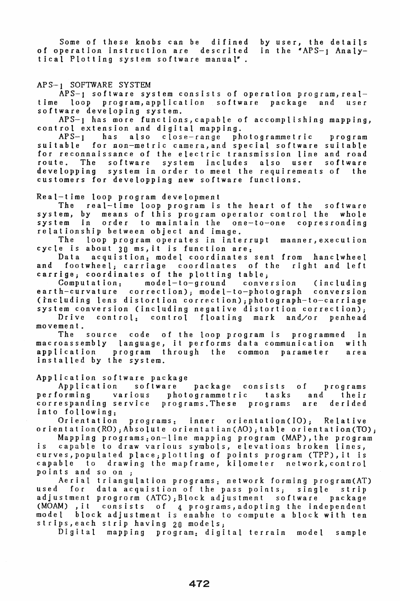Some of these knobs can be difined of operation instruction are descrited tical Plotting system software manual". by user, the details in the "APS-1 Analy-

#### APS-1 SOFTWARE SYSTEM

APS-] software system consists of operation program,realtime loop program,application software package and user software developing system.

APS-l has more functions,capable of accomplishing mapping, control extension and digital mapping.

APS-l has also close-range photogrammetric program suitable for non-metric camera, and special software suitable suitable for non-metric camera, and special software suitable<br>for reconnaissance of the electric transmission line and road<br>route. The software system includes also user software system includes developping system in order to meet the requirements of the customers for developping new software functions.

Real-time loop program development

The real-time loop program is the heart of the software<br>system, by means of this program operator control the whole system, by means of this program operator control the whole order to maintain the one-to-one relationship between object and image.

The loop program operates in interrupt manner,execution cycle is about 30 ms, it is function are:

acquistion: model coordinates sent from hanclwheel and footwheel; carriage coordinates of the right and left carrige; coordinates of the plotting table;<br>Computation: model-to-ground conve

model-to-ground conversion (including earth-curvature correction); model-to-photograph conversion (including lens distortion correction), photograph-to-carriage system conversion (including negative distortion correction); Drive control: control floating mark and/or penhead

movement.

The source code of the loop program is programmed in macroassembly language, it performs data communication with program through the common parameter area installed by the system.

Application software package<br>
Application software

Application software package consists of programs performing various photogrammetric tasks and their correspanding service programs. These programs into following:

programs: inner orientation(IO); Relative orientation(RO); Absolute orientatian(AO); table orientation(TO);

Mapping programs:on-line mapping program (MAP),the program is capable to draw various symbols, elevations broken lines, curves,populated place;plotting of points program (TPP),it is capable to drawing the mapframc, kilometer nctwork,control points and so on ;

Aerial triangulation programs: network forming program(AT)<br>used for data acquistion of the pass points; single strip data acquistion of the pass points; single strip<br>progrorm (ATC); Block adjustment software package adjustment progrorm (ATC); Block adjustment software<br>(MOAM), it consists of a programs, adopting the ind (MOAM) ,it consists of 4 programs,adopting the independent block adjustment is enabhe to compute a block with ten strips,each strip having 20 models;

mapping program: digital terrain model sample